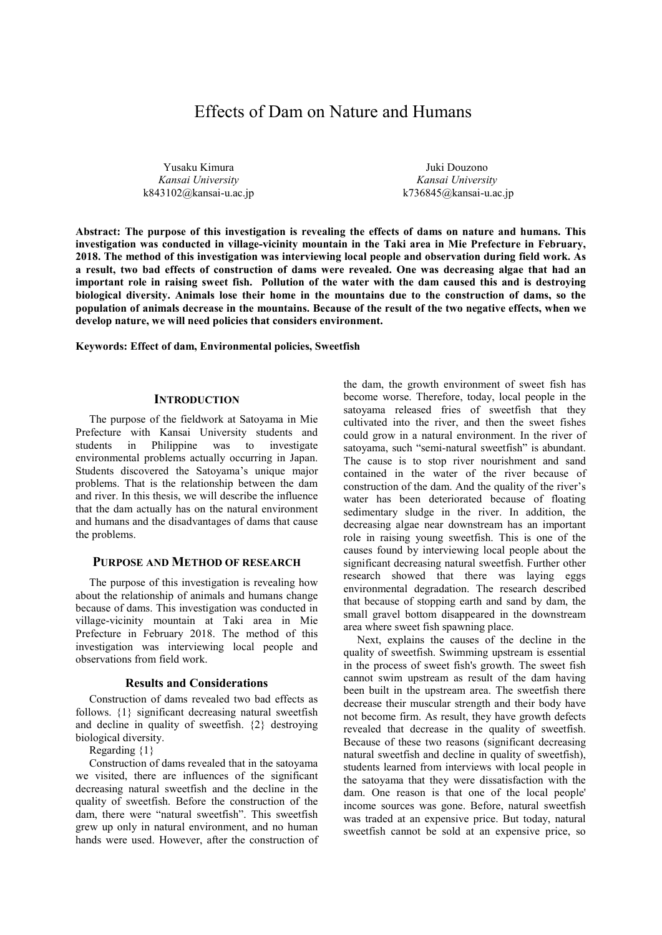# Effects of Dam on Nature and Humans

Yusaku Kimura *Kansai University* k843102@kansai-u.ac.jp

Juki Douzono *Kansai University*  k736845@kansai-u.ac.jp

**Abstract: The purpose of this investigation is revealing the effects of dams on nature and humans. This investigation was conducted in village-vicinity mountain in the Taki area in Mie Prefecture in February, 2018. The method of this investigation was interviewing local people and observation during field work. As a result, two bad effects of construction of dams were revealed. One was decreasing algae that had an important role in raising sweet fish. Pollution of the water with the dam caused this and is destroying biological diversity. Animals lose their home in the mountains due to the construction of dams, so the population of animals decrease in the mountains. Because of the result of the two negative effects, when we develop nature, we will need policies that considers environment.** 

**Keywords: Effect of dam, Environmental policies, Sweetfish** 

# **INTRODUCTION**

The purpose of the fieldwork at Satoyama in Mie Prefecture with Kansai University students and students in Philippine was to investigate environmental problems actually occurring in Japan. Students discovered the Satoyama's unique major problems. That is the relationship between the dam and river. In this thesis, we will describe the influence that the dam actually has on the natural environment and humans and the disadvantages of dams that cause the problems.

### **PURPOSE AND METHOD OF RESEARCH**

The purpose of this investigation is revealing how about the relationship of animals and humans change because of dams. This investigation was conducted in village-vicinity mountain at Taki area in Mie Prefecture in February 2018. The method of this investigation was interviewing local people and observations from field work.

#### **Results and Considerations**

Construction of dams revealed two bad effects as follows. {1} significant decreasing natural sweetfish and decline in quality of sweetfish. {2} destroying biological diversity.

Regarding {1}

Construction of dams revealed that in the satoyama we visited, there are influences of the significant decreasing natural sweetfish and the decline in the quality of sweetfish. Before the construction of the dam, there were "natural sweetfish". This sweetfish grew up only in natural environment, and no human hands were used. However, after the construction of

the dam, the growth environment of sweet fish has become worse. Therefore, today, local people in the satoyama released fries of sweetfish that they cultivated into the river, and then the sweet fishes could grow in a natural environment. In the river of satoyama, such "semi-natural sweetfish" is abundant. The cause is to stop river nourishment and sand contained in the water of the river because of construction of the dam. And the quality of the river's water has been deteriorated because of floating sedimentary sludge in the river. In addition, the decreasing algae near downstream has an important role in raising young sweetfish. This is one of the causes found by interviewing local people about the significant decreasing natural sweetfish. Further other research showed that there was laying eggs environmental degradation. The research described that because of stopping earth and sand by dam, the small gravel bottom disappeared in the downstream area where sweet fish spawning place.

Next, explains the causes of the decline in the quality of sweetfish. Swimming upstream is essential in the process of sweet fish's growth. The sweet fish cannot swim upstream as result of the dam having been built in the upstream area. The sweetfish there decrease their muscular strength and their body have not become firm. As result, they have growth defects revealed that decrease in the quality of sweetfish. Because of these two reasons (significant decreasing natural sweetfish and decline in quality of sweetfish), students learned from interviews with local people in the satoyama that they were dissatisfaction with the dam. One reason is that one of the local people' income sources was gone. Before, natural sweetfish was traded at an expensive price. But today, natural sweetfish cannot be sold at an expensive price, so